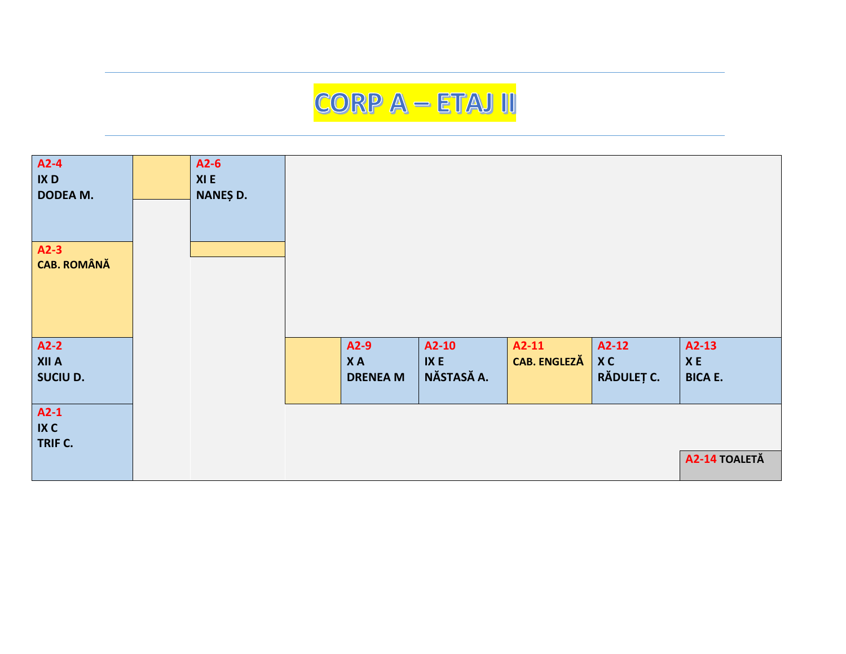## CORP A - ETAJ II

| A2-4<br>IX <sub>D</sub><br>DODEA M. | $A2-6$<br>XI E<br>NANEȘ D. |                 |            |                     |            |                      |
|-------------------------------------|----------------------------|-----------------|------------|---------------------|------------|----------------------|
| $A2-3$<br><b>CAB. ROMÂNĂ</b>        |                            |                 |            |                     |            |                      |
|                                     |                            |                 |            |                     |            |                      |
| $A2-2$                              |                            | $A2-9$          | A2-10      | $A2-11$             | $A2-12$    | A2-13                |
| <b>XII A</b>                        |                            | <b>XA</b>       | IX E       | <b>CAB. ENGLEZĂ</b> | XC         | $\pmb{\mathsf{X}}$ E |
| SUCIU D.                            |                            | <b>DRENEA M</b> | NĂSTASĂ A. |                     | RĂDULEȚ C. | <b>BICA E.</b>       |
|                                     |                            |                 |            |                     |            |                      |
| $A2-1$                              |                            |                 |            |                     |            |                      |
| IX C<br>TRIF C.                     |                            |                 |            |                     |            |                      |
|                                     |                            |                 |            |                     |            | A2-14 TOALETĂ        |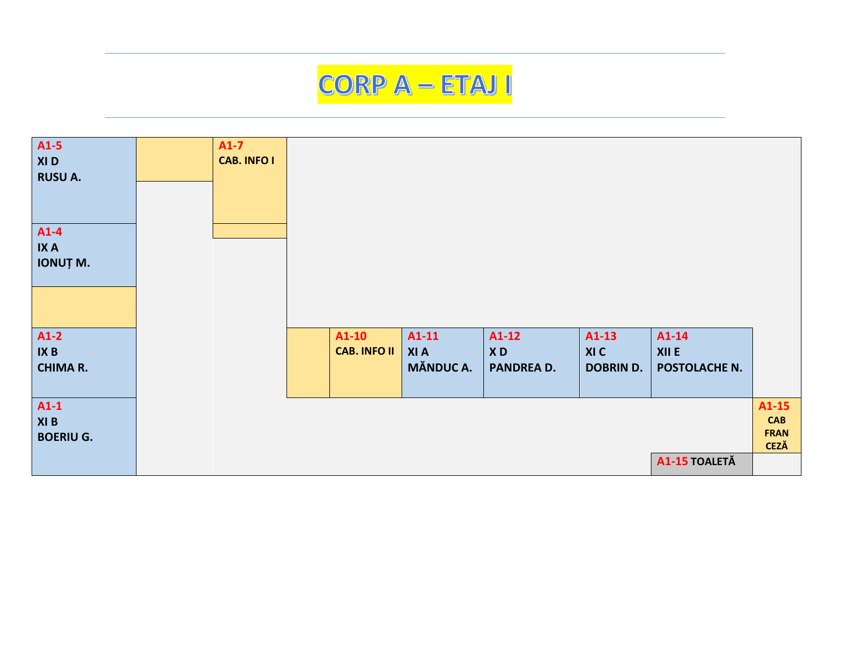

| A1-5<br>XI D<br><b>RUSU A.</b>     | $A1-7$<br><b>CAB. INFO I</b> |                                |                                           |                                    |                                     |                                   |                                      |
|------------------------------------|------------------------------|--------------------------------|-------------------------------------------|------------------------------------|-------------------------------------|-----------------------------------|--------------------------------------|
|                                    |                              |                                |                                           |                                    |                                     |                                   |                                      |
| A1-4<br><b>IXA</b><br>IONUȚ M.     |                              |                                |                                           |                                    |                                     |                                   |                                      |
|                                    |                              |                                |                                           |                                    |                                     |                                   |                                      |
|                                    |                              |                                |                                           |                                    |                                     |                                   |                                      |
| $A1-2$<br>IX B<br><b>CHIMA R.</b>  |                              | $A1-10$<br><b>CAB. INFO II</b> | $A1-11$<br><b>XIA</b><br><b>MĂNDUC A.</b> | $A1-12$<br>XD<br><b>PANDREA D.</b> | $A1-13$<br>XI C<br><b>DOBRIN D.</b> | $A1-14$<br>XII E<br>POSTOLACHE N. |                                      |
|                                    |                              |                                |                                           |                                    |                                     |                                   |                                      |
| $A1-1$<br>XI B<br><b>BOERIU G.</b> |                              |                                |                                           |                                    |                                     |                                   | $A1-15$<br><b>CAB</b><br><b>FRAN</b> |
|                                    |                              |                                |                                           |                                    |                                     | A1-15 TOALETĂ                     | <b>CEZĂ</b>                          |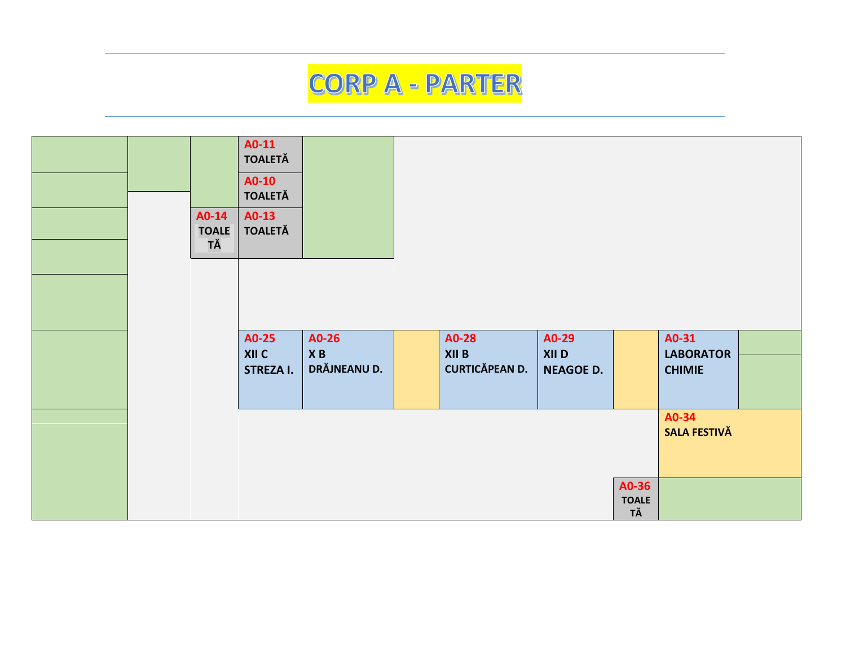## **CORP A - PARTER**

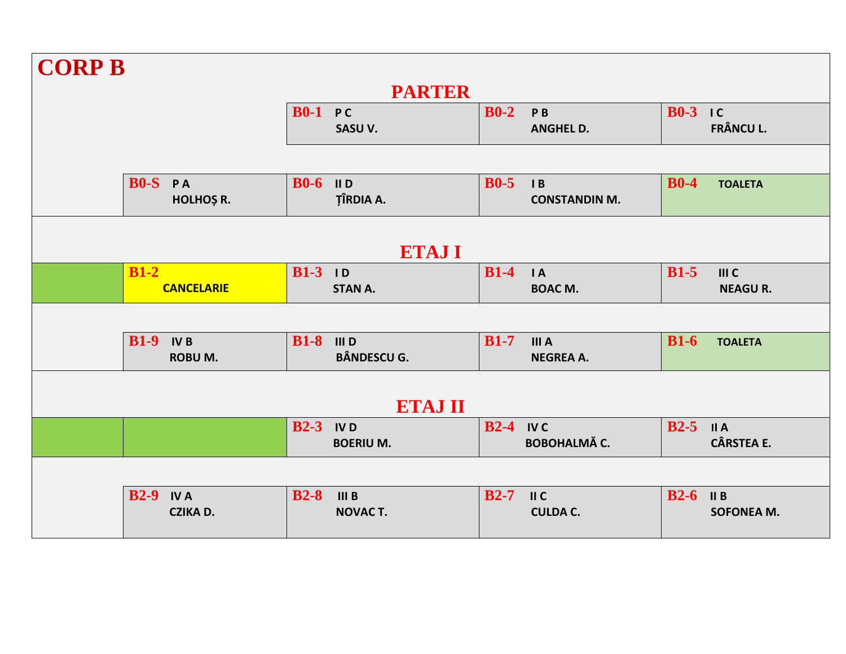| <b>CORP B</b>                  |                                         |                                                |                                     |  |  |  |  |  |
|--------------------------------|-----------------------------------------|------------------------------------------------|-------------------------------------|--|--|--|--|--|
|                                | <b>PARTER</b>                           |                                                |                                     |  |  |  |  |  |
|                                | <b>B0-1 PC</b><br>SASU V.               | $B0-2$<br>P <sub>B</sub><br><b>ANGHEL D.</b>   | $B0-3$ IC<br><b>FRÂNCU L.</b>       |  |  |  |  |  |
|                                |                                         |                                                |                                     |  |  |  |  |  |
| BO-S PA<br>HOLHOȘ R.           | $B0-6$ IID<br><b>TÎRDIA A.</b>          | $B0-5$<br>$\mathsf{I}$<br><b>CONSTANDIN M.</b> | $B0-4$<br><b>TOALETA</b>            |  |  |  |  |  |
|                                |                                         |                                                |                                     |  |  |  |  |  |
|                                | <b>ETAJI</b>                            |                                                |                                     |  |  |  |  |  |
| $B1-2$<br><b>CANCELARIE</b>    | <b>B1-3</b> ID<br><b>STAN A.</b>        | $B1-4$<br>$\overline{A}$<br><b>BOAC M.</b>     | $B1-5$<br>III C<br><b>NEAGUR.</b>   |  |  |  |  |  |
|                                |                                         |                                                |                                     |  |  |  |  |  |
| $B1-9$ IVB<br><b>ROBU M.</b>   | <b>B1-8</b> III D<br><b>BÂNDESCU G.</b> | $B1-7$<br><b>IIIA</b><br><b>NEGREA A.</b>      | $B1-6$<br><b>TOALETA</b>            |  |  |  |  |  |
|                                |                                         |                                                |                                     |  |  |  |  |  |
|                                | <b>ETAJ II</b>                          |                                                |                                     |  |  |  |  |  |
|                                | $B2-3$ IVD<br><b>BOERIUM.</b>           | $B2-4$ IVC<br><b>BOBOHALMĂ C.</b>              | $B2-5$<br>II A<br><b>CÂRSTEA E.</b> |  |  |  |  |  |
|                                |                                         |                                                |                                     |  |  |  |  |  |
| $B2-9$ IV A<br><b>CZIKA D.</b> | $B2-8$<br><b>IIIB</b><br><b>NOVACT.</b> | $B2-7$<br>II C<br><b>CULDA C.</b>              | $B2-6$<br>II B<br><b>SOFONEA M.</b> |  |  |  |  |  |